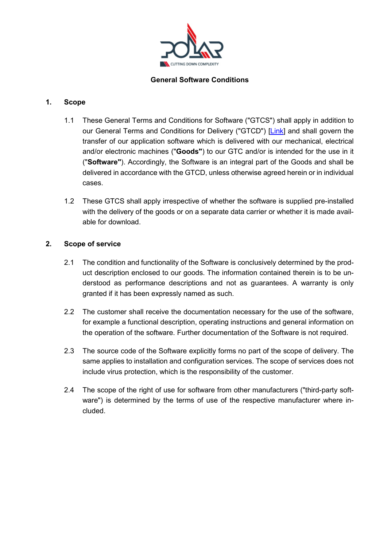

### **General Software Conditions**

## **1. Scope**

- 1.1 These General Terms and Conditions for Software ("GTCS") shall apply in addition to our General Terms and Conditions for Delivery ("GTCD") [\[Link\]](https://polar-mohr.com/dl/14/31679/21_PM_General_Terms_and_Conditions_of_Delivery.pdf) and shall govern the transfer of our application software which is delivered with our mechanical, electrical and/or electronic machines ("**Goods"**) to our GTC and/or is intended for the use in it ("**Software"**). Accordingly, the Software is an integral part of the Goods and shall be delivered in accordance with the GTCD, unless otherwise agreed herein or in individual cases.
- 1.2 These GTCS shall apply irrespective of whether the software is supplied pre-installed with the delivery of the goods or on a separate data carrier or whether it is made available for download.

#### **2. Scope of service**

- 2.1 The condition and functionality of the Software is conclusively determined by the product description enclosed to our goods. The information contained therein is to be understood as performance descriptions and not as guarantees. A warranty is only granted if it has been expressly named as such.
- 2.2 The customer shall receive the documentation necessary for the use of the software, for example a functional description, operating instructions and general information on the operation of the software. Further documentation of the Software is not required.
- 2.3 The source code of the Software explicitly forms no part of the scope of delivery. The same applies to installation and configuration services. The scope of services does not include virus protection, which is the responsibility of the customer.
- 2.4 The scope of the right of use for software from other manufacturers ("third-party software") is determined by the terms of use of the respective manufacturer where included.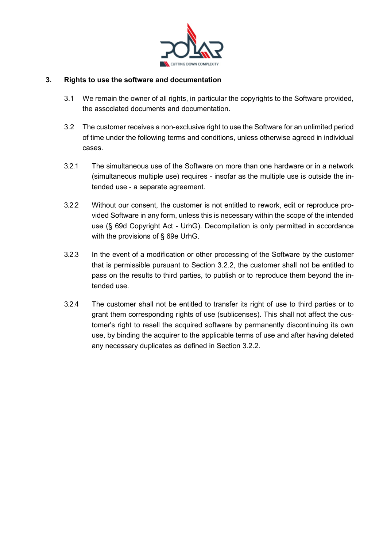

### **3. Rights to use the software and documentation**

- 3.1 We remain the owner of all rights, in particular the copyrights to the Software provided, the associated documents and documentation.
- 3.2 The customer receives a non-exclusive right to use the Software for an unlimited period of time under the following terms and conditions, unless otherwise agreed in individual cases.
- <span id="page-1-1"></span>3.2.1 The simultaneous use of the Software on more than one hardware or in a network (simultaneous multiple use) requires - insofar as the multiple use is outside the intended use - a separate agreement.
- <span id="page-1-0"></span>3.2.2 Without our consent, the customer is not entitled to rework, edit or reproduce provided Software in any form, unless this is necessary within the scope of the intended use (§ 69d Copyright Act - UrhG). Decompilation is only permitted in accordance with the provisions of § 69e UrhG.
- 3.2.3 In the event of a modification or other processing of the Software by the customer that is permissible pursuant to Section [3.2.2, the c](#page-1-0)ustomer shall not be entitled to pass on the results to third parties, to publish or to reproduce them beyond the intended use.
- <span id="page-1-2"></span>3.2.4 The customer shall not be entitled to transfer its right of use to third parties or to grant them corresponding rights of use (sublicenses). This shall not affect the customer's right to resell the acquired software by permanently discontinuing its own use, by binding the acquirer to the applicable terms of use and after having deleted any necessary duplicates as defined in Section [3.2.2.](#page-1-0)